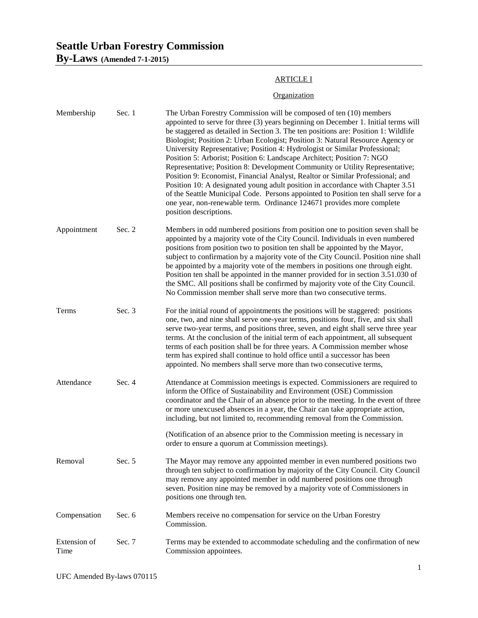# **Seattle Urban Forestry Commission**

**By-Laws (Amended 7-1-2015)**

## ARTICLE I

## **Organization**

| Membership           | Sec. 1 | The Urban Forestry Commission will be composed of ten (10) members<br>appointed to serve for three (3) years beginning on December 1. Initial terms will<br>be staggered as detailed in Section 3. The ten positions are: Position 1: Wildlife<br>Biologist; Position 2: Urban Ecologist; Position 3: Natural Resource Agency or<br>University Representative; Position 4: Hydrologist or Similar Professional;<br>Position 5: Arborist; Position 6: Landscape Architect; Position 7: NGO<br>Representative; Position 8: Development Community or Utility Representative;<br>Position 9: Economist, Financial Analyst, Realtor or Similar Professional; and<br>Position 10: A designated young adult position in accordance with Chapter 3.51<br>of the Seattle Municipal Code. Persons appointed to Position ten shall serve for a<br>one year, non-renewable term. Ordinance 124671 provides more complete<br>position descriptions. |
|----------------------|--------|----------------------------------------------------------------------------------------------------------------------------------------------------------------------------------------------------------------------------------------------------------------------------------------------------------------------------------------------------------------------------------------------------------------------------------------------------------------------------------------------------------------------------------------------------------------------------------------------------------------------------------------------------------------------------------------------------------------------------------------------------------------------------------------------------------------------------------------------------------------------------------------------------------------------------------------|
| Appointment          | Sec. 2 | Members in odd numbered positions from position one to position seven shall be<br>appointed by a majority vote of the City Council. Individuals in even numbered<br>positions from position two to position ten shall be appointed by the Mayor,<br>subject to confirmation by a majority vote of the City Council. Position nine shall<br>be appointed by a majority vote of the members in positions one through eight.<br>Position ten shall be appointed in the manner provided for in section 3.51.030 of<br>the SMC. All positions shall be confirmed by majority vote of the City Council.<br>No Commission member shall serve more than two consecutive terms.                                                                                                                                                                                                                                                                 |
| Terms                | Sec. 3 | For the initial round of appointments the positions will be staggered: positions<br>one, two, and nine shall serve one-year terms, positions four, five, and six shall<br>serve two-year terms, and positions three, seven, and eight shall serve three year<br>terms. At the conclusion of the initial term of each appointment, all subsequent<br>terms of each position shall be for three years. A Commission member whose<br>term has expired shall continue to hold office until a successor has been<br>appointed. No members shall serve more than two consecutive terms,                                                                                                                                                                                                                                                                                                                                                      |
| Attendance           | Sec. 4 | Attendance at Commission meetings is expected. Commissioners are required to<br>inform the Office of Sustainability and Environment (OSE) Commission<br>coordinator and the Chair of an absence prior to the meeting. In the event of three<br>or more unexcused absences in a year, the Chair can take appropriate action,<br>including, but not limited to, recommending removal from the Commission.                                                                                                                                                                                                                                                                                                                                                                                                                                                                                                                                |
|                      |        | (Notification of an absence prior to the Commission meeting is necessary in<br>order to ensure a quorum at Commission meetings).                                                                                                                                                                                                                                                                                                                                                                                                                                                                                                                                                                                                                                                                                                                                                                                                       |
| Removal              | Sec. 5 | The Mayor may remove any appointed member in even numbered positions two<br>through ten subject to confirmation by majority of the City Council. City Council<br>may remove any appointed member in odd numbered positions one through<br>seven. Position nine may be removed by a majority vote of Commissioners in<br>positions one through ten.                                                                                                                                                                                                                                                                                                                                                                                                                                                                                                                                                                                     |
| Compensation         | Sec. 6 | Members receive no compensation for service on the Urban Forestry<br>Commission.                                                                                                                                                                                                                                                                                                                                                                                                                                                                                                                                                                                                                                                                                                                                                                                                                                                       |
| Extension of<br>Time | Sec. 7 | Terms may be extended to accommodate scheduling and the confirmation of new<br>Commission appointees.                                                                                                                                                                                                                                                                                                                                                                                                                                                                                                                                                                                                                                                                                                                                                                                                                                  |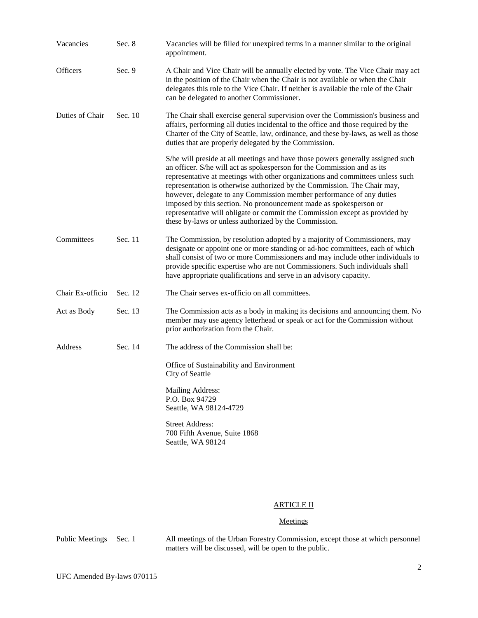| Vacancies        | Sec. 8  | Vacancies will be filled for unexpired terms in a manner similar to the original<br>appointment.                                                                                                                                                                                                                                                                                                                                                                                                                                                                                                              |
|------------------|---------|---------------------------------------------------------------------------------------------------------------------------------------------------------------------------------------------------------------------------------------------------------------------------------------------------------------------------------------------------------------------------------------------------------------------------------------------------------------------------------------------------------------------------------------------------------------------------------------------------------------|
| <b>Officers</b>  | Sec. 9  | A Chair and Vice Chair will be annually elected by vote. The Vice Chair may act<br>in the position of the Chair when the Chair is not available or when the Chair<br>delegates this role to the Vice Chair. If neither is available the role of the Chair<br>can be delegated to another Commissioner.                                                                                                                                                                                                                                                                                                        |
| Duties of Chair  | Sec. 10 | The Chair shall exercise general supervision over the Commission's business and<br>affairs, performing all duties incidental to the office and those required by the<br>Charter of the City of Seattle, law, ordinance, and these by-laws, as well as those<br>duties that are properly delegated by the Commission.                                                                                                                                                                                                                                                                                          |
|                  |         | S/he will preside at all meetings and have those powers generally assigned such<br>an officer. S/he will act as spokesperson for the Commission and as its<br>representative at meetings with other organizations and committees unless such<br>representation is otherwise authorized by the Commission. The Chair may,<br>however, delegate to any Commission member performance of any duties<br>imposed by this section. No pronouncement made as spokesperson or<br>representative will obligate or commit the Commission except as provided by<br>these by-laws or unless authorized by the Commission. |
| Committees       | Sec. 11 | The Commission, by resolution adopted by a majority of Commissioners, may<br>designate or appoint one or more standing or ad-hoc committees, each of which<br>shall consist of two or more Commissioners and may include other individuals to<br>provide specific expertise who are not Commissioners. Such individuals shall<br>have appropriate qualifications and serve in an advisory capacity.                                                                                                                                                                                                           |
| Chair Ex-officio | Sec. 12 | The Chair serves ex-officio on all committees.                                                                                                                                                                                                                                                                                                                                                                                                                                                                                                                                                                |
| Act as Body      | Sec. 13 | The Commission acts as a body in making its decisions and announcing them. No<br>member may use agency letterhead or speak or act for the Commission without<br>prior authorization from the Chair.                                                                                                                                                                                                                                                                                                                                                                                                           |
| Address          | Sec. 14 | The address of the Commission shall be:                                                                                                                                                                                                                                                                                                                                                                                                                                                                                                                                                                       |
|                  |         | Office of Sustainability and Environment<br>City of Seattle                                                                                                                                                                                                                                                                                                                                                                                                                                                                                                                                                   |
|                  |         | Mailing Address:<br>P.O. Box 94729<br>Seattle, WA 98124-4729                                                                                                                                                                                                                                                                                                                                                                                                                                                                                                                                                  |
|                  |         | <b>Street Address:</b><br>700 Fifth Avenue, Suite 1868<br>Seattle, WA 98124                                                                                                                                                                                                                                                                                                                                                                                                                                                                                                                                   |

#### ARTICLE II

#### **Meetings**

Public Meetings Sec. 1 All meetings of the Urban Forestry Commission, except those at which personnel matters will be discussed, will be open to the public.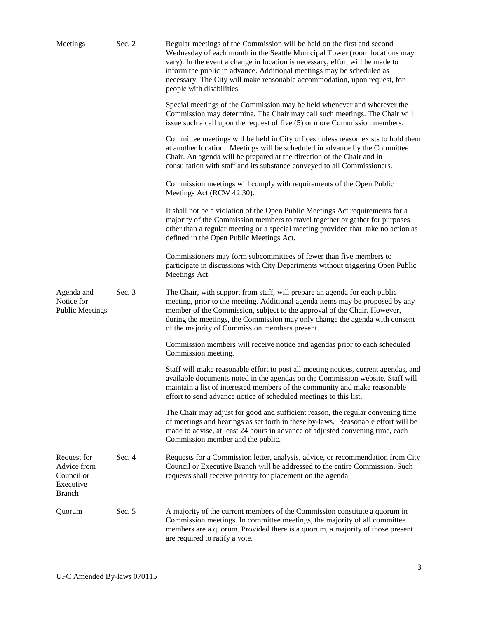| Meetings                                                               | Sec. 2   | Regular meetings of the Commission will be held on the first and second<br>Wednesday of each month in the Seattle Municipal Tower (room locations may<br>vary). In the event a change in location is necessary, effort will be made to<br>inform the public in advance. Additional meetings may be scheduled as<br>necessary. The City will make reasonable accommodation, upon request, for<br>people with disabilities. |
|------------------------------------------------------------------------|----------|---------------------------------------------------------------------------------------------------------------------------------------------------------------------------------------------------------------------------------------------------------------------------------------------------------------------------------------------------------------------------------------------------------------------------|
|                                                                        |          | Special meetings of the Commission may be held whenever and wherever the<br>Commission may determine. The Chair may call such meetings. The Chair will<br>issue such a call upon the request of five (5) or more Commission members.                                                                                                                                                                                      |
|                                                                        |          | Committee meetings will be held in City offices unless reason exists to hold them<br>at another location. Meetings will be scheduled in advance by the Committee<br>Chair. An agenda will be prepared at the direction of the Chair and in<br>consultation with staff and its substance conveyed to all Commissioners.                                                                                                    |
|                                                                        |          | Commission meetings will comply with requirements of the Open Public<br>Meetings Act (RCW 42.30).                                                                                                                                                                                                                                                                                                                         |
|                                                                        |          | It shall not be a violation of the Open Public Meetings Act requirements for a<br>majority of the Commission members to travel together or gather for purposes<br>other than a regular meeting or a special meeting provided that take no action as<br>defined in the Open Public Meetings Act.                                                                                                                           |
|                                                                        |          | Commissioners may form subcommittees of fewer than five members to<br>participate in discussions with City Departments without triggering Open Public<br>Meetings Act.                                                                                                                                                                                                                                                    |
| Agenda and<br>Notice for<br><b>Public Meetings</b>                     | Sec. $3$ | The Chair, with support from staff, will prepare an agenda for each public<br>meeting, prior to the meeting. Additional agenda items may be proposed by any<br>member of the Commission, subject to the approval of the Chair. However,<br>during the meetings, the Commission may only change the agenda with consent<br>of the majority of Commission members present.                                                  |
|                                                                        |          | Commission members will receive notice and agendas prior to each scheduled<br>Commission meeting.                                                                                                                                                                                                                                                                                                                         |
|                                                                        |          | Staff will make reasonable effort to post all meeting notices, current agendas, and<br>available documents noted in the agendas on the Commission website. Staff will<br>maintain a list of interested members of the community and make reasonable<br>effort to send advance notice of scheduled meetings to this list.                                                                                                  |
|                                                                        |          | The Chair may adjust for good and sufficient reason, the regular convening time<br>of meetings and hearings as set forth in these by-laws. Reasonable effort will be<br>made to advise, at least 24 hours in advance of adjusted convening time, each<br>Commission member and the public.                                                                                                                                |
| Request for<br>Advice from<br>Council or<br>Executive<br><b>Branch</b> | Sec. 4   | Requests for a Commission letter, analysis, advice, or recommendation from City<br>Council or Executive Branch will be addressed to the entire Commission. Such<br>requests shall receive priority for placement on the agenda.                                                                                                                                                                                           |
| Quorum                                                                 | Sec. 5   | A majority of the current members of the Commission constitute a quorum in<br>Commission meetings. In committee meetings, the majority of all committee<br>members are a quorum. Provided there is a quorum, a majority of those present<br>are required to ratify a vote.                                                                                                                                                |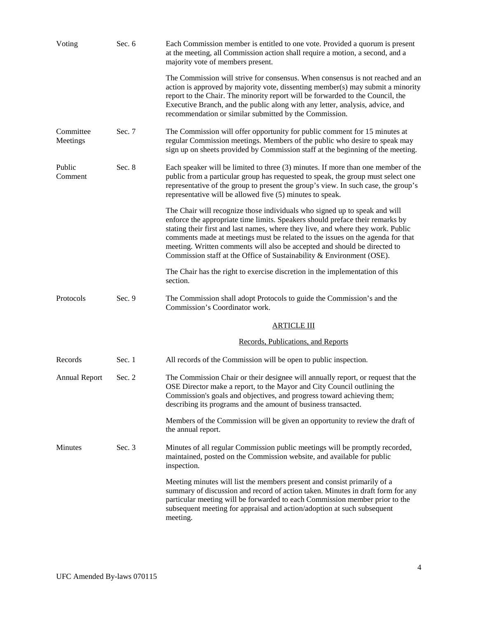| Voting                | Sec. $6$ | Each Commission member is entitled to one vote. Provided a quorum is present<br>at the meeting, all Commission action shall require a motion, a second, and a<br>majority vote of members present.                                                                                                                                                                                                                                                                                      |
|-----------------------|----------|-----------------------------------------------------------------------------------------------------------------------------------------------------------------------------------------------------------------------------------------------------------------------------------------------------------------------------------------------------------------------------------------------------------------------------------------------------------------------------------------|
|                       |          | The Commission will strive for consensus. When consensus is not reached and an<br>action is approved by majority vote, dissenting member(s) may submit a minority<br>report to the Chair. The minority report will be forwarded to the Council, the<br>Executive Branch, and the public along with any letter, analysis, advice, and<br>recommendation or similar submitted by the Commission.                                                                                          |
| Committee<br>Meetings | Sec. 7   | The Commission will offer opportunity for public comment for 15 minutes at<br>regular Commission meetings. Members of the public who desire to speak may<br>sign up on sheets provided by Commission staff at the beginning of the meeting.                                                                                                                                                                                                                                             |
| Public<br>Comment     | Sec. 8   | Each speaker will be limited to three $(3)$ minutes. If more than one member of the<br>public from a particular group has requested to speak, the group must select one<br>representative of the group to present the group's view. In such case, the group's<br>representative will be allowed five (5) minutes to speak.                                                                                                                                                              |
|                       |          | The Chair will recognize those individuals who signed up to speak and will<br>enforce the appropriate time limits. Speakers should preface their remarks by<br>stating their first and last names, where they live, and where they work. Public<br>comments made at meetings must be related to the issues on the agenda for that<br>meeting. Written comments will also be accepted and should be directed to<br>Commission staff at the Office of Sustainability & Environment (OSE). |
|                       |          | The Chair has the right to exercise discretion in the implementation of this<br>section.                                                                                                                                                                                                                                                                                                                                                                                                |
| Protocols             | Sec. 9   | The Commission shall adopt Protocols to guide the Commission's and the<br>Commission's Coordinator work.                                                                                                                                                                                                                                                                                                                                                                                |
|                       |          | <u>ARTICLE III</u>                                                                                                                                                                                                                                                                                                                                                                                                                                                                      |
|                       |          | Records, Publications, and Reports                                                                                                                                                                                                                                                                                                                                                                                                                                                      |
| Records               | Sec. 1   | All records of the Commission will be open to public inspection.                                                                                                                                                                                                                                                                                                                                                                                                                        |
| <b>Annual Report</b>  | Sec. 2   | The Commission Chair or their designee will annually report, or request that the<br>OSE Director make a report, to the Mayor and City Council outlining the<br>Commission's goals and objectives, and progress toward achieving them;<br>describing its programs and the amount of business transacted.                                                                                                                                                                                 |
|                       |          | Members of the Commission will be given an opportunity to review the draft of<br>the annual report.                                                                                                                                                                                                                                                                                                                                                                                     |
| Minutes               | Sec. 3   | Minutes of all regular Commission public meetings will be promptly recorded,<br>maintained, posted on the Commission website, and available for public<br>inspection.                                                                                                                                                                                                                                                                                                                   |
|                       |          | Meeting minutes will list the members present and consist primarily of a<br>summary of discussion and record of action taken. Minutes in draft form for any<br>particular meeting will be forwarded to each Commission member prior to the<br>subsequent meeting for appraisal and action/adoption at such subsequent<br>meeting.                                                                                                                                                       |